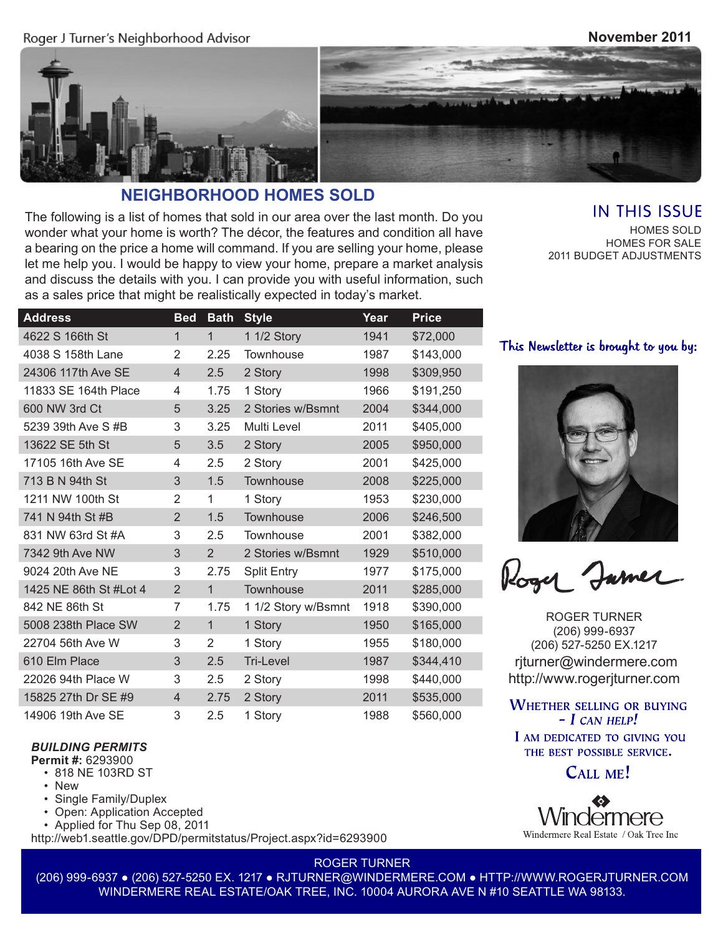Roger J Turner's Neighborhood Advisor

#### **November 2011**





# **NEIGHBORHOOD HOMES SOLD**

The following is a list of homes that sold in our area over the last month. Do you wonder what your home is worth? The décor, the features and condition all have a bearing on the price a home will command. If you are selling your home, please let me help you. I would be happy to view your home, prepare a market analysis and discuss the details with you. I can provide you with useful information, such as a sales price that might be realistically expected in today's market.

## **IN THIS ISSUE**

HOMES SOLD HOMES FOR SALE 2011 BUDGET ADJUSTMENTS

| <b>Address</b>         | <b>Bed</b>     | <b>Bath</b>    | <b>Style</b>        | Year | <b>Price</b> |
|------------------------|----------------|----------------|---------------------|------|--------------|
| 4622 S 166th St        | 1              | $\mathbf{1}$   | 1 1/2 Story         | 1941 | \$72,000     |
| 4038 S 158th Lane      | $\overline{2}$ | 2.25           | Townhouse           | 1987 | \$143,000    |
| 24306 117th Ave SE     | $\overline{4}$ | 2.5            | 2 Story             | 1998 | \$309,950    |
| 11833 SE 164th Place   | 4              | 1.75           | 1 Story             | 1966 | \$191,250    |
| 600 NW 3rd Ct          | 5              | 3.25           | 2 Stories w/Bsmnt   | 2004 | \$344,000    |
| 5239 39th Ave S #B     | 3              | 3.25           | Multi Level         | 2011 | \$405,000    |
| 13622 SE 5th St        | 5              | 3.5            | 2 Story             | 2005 | \$950,000    |
| 17105 16th Ave SE      | 4              | 2.5            | 2 Story             | 2001 | \$425,000    |
| 713 B N 94th St        | 3              | 1.5            | Townhouse           | 2008 | \$225,000    |
| 1211 NW 100th St       | 2              | 1              | 1 Story             | 1953 | \$230,000    |
| 741 N 94th St #B       | $\overline{2}$ | 1.5            | Townhouse           | 2006 | \$246,500    |
| 831 NW 63rd St #A      | 3              | 2.5            | Townhouse           | 2001 | \$382,000    |
| 7342 9th Ave NW        | 3              | 2              | 2 Stories w/Bsmnt   | 1929 | \$510,000    |
| 9024 20th Ave NE       | 3              | 2.75           | <b>Split Entry</b>  | 1977 | \$175,000    |
| 1425 NE 86th St #Lot 4 | $\overline{2}$ | $\mathbf{1}$   | Townhouse           | 2011 | \$285,000    |
| 842 NE 86th St         | 7              | 1.75           | 1 1/2 Story w/Bsmnt | 1918 | \$390,000    |
| 5008 238th Place SW    | $\overline{2}$ | $\mathbf{1}$   | 1 Story             | 1950 | \$165,000    |
| 22704 56th Ave W       | 3              | $\overline{2}$ | 1 Story             | 1955 | \$180,000    |
| 610 Elm Place          | 3              | 2.5            | Tri-Level           | 1987 | \$344,410    |
| 22026 94th Place W     | 3              | 2.5            | 2 Story             | 1998 | \$440,000    |
| 15825 27th Dr SE #9    | $\overline{4}$ | 2.75           | 2 Story             | 2011 | \$535,000    |
| 14906 19th Ave SE      | 3              | 2.5            | 1 Story             | 1988 | \$560,000    |

#### This Newsletter is brought to you by:



Roger Jamer

ROGER TURNER (206) 999-6937 (206) 527-5250 EX.1217 rjturner@windermere.com http://www.rogerjturner.com

**WHETHER SELLING OR BUYING**  $-$  I CAN HELP!

I AM DEDICATED TO GIVING YOU THE BEST POSSIBLE SERVICE.

CALL ME!

# dermere Windermere Real Estate / Oak Tree Inc

*BUILDING PERMITS*

**Permit #:** 6293900

- 818 NE 103RD ST
- New
- Single Family/Duplex
- Open: Application Accepted
- Applied for Thu Sep 08, 2011

http://web1.seattle.gov/DPD/permitstatus/Project.aspx?id=6293900

ROGER TURNER

(206) 999-6937 ● (206) 527-5250 EX. 1217 ● RJTURNER@WINDERMERE.COM ● HTTP://WWW.ROGERJTURNER.COM WINDERMERE REAL ESTATE/OAK TREE, INC. 10004 AURORA AVE N #10 SEATTLE WA 98133.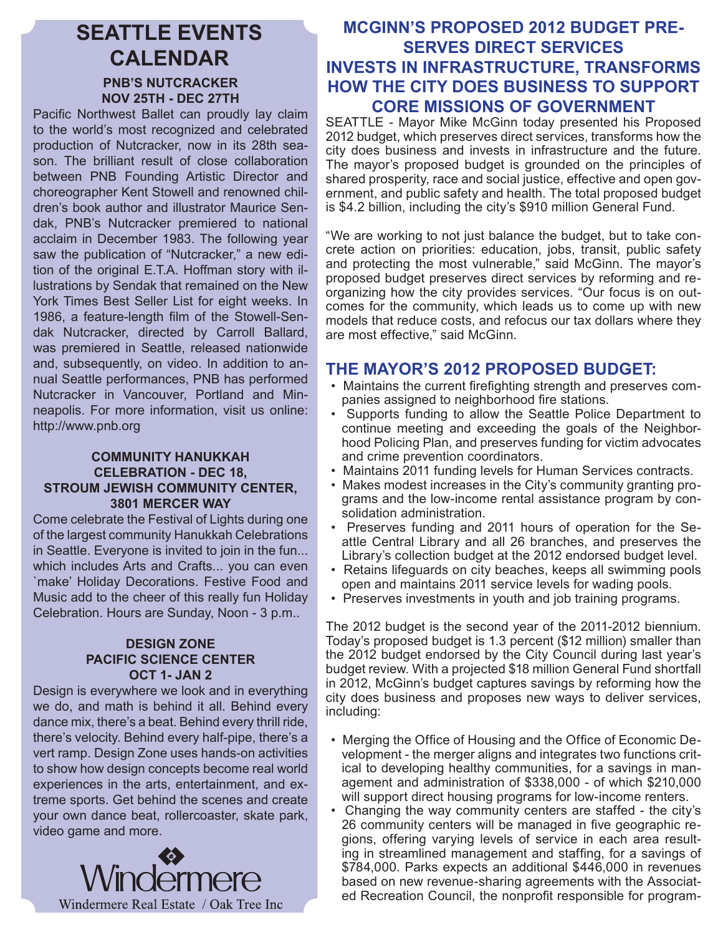# **SEATTLE EVENTS CALENDAR PNB'S NUTCRACKER NOV 25TH - DEC 27TH**

Pacific Northwest Ballet can proudly lay claim to the world's most recognized and celebrated production of Nutcracker, now in its 28th season. The brilliant result of close collaboration between PNB Founding Artistic Director and choreographer Kent Stowell and renowned children's book author and illustrator Maurice Sendak, PNB's Nutcracker premiered to national acclaim in December 1983. The following year saw the publication of "Nutcracker," a new edition of the original E.T.A. Hoffman story with illustrations by Sendak that remained on the New York Times Best Seller List for eight weeks. In 1986, a feature-length film of the Stowell-Sendak Nutcracker, directed by Carroll Ballard, was premiered in Seattle, released nationwide and, subsequently, on video. In addition to annual Seattle performances, PNB has performed Nutcracker in Vancouver, Portland and Minneapolis. For more information, visit us online: http://www.pnb.org

#### **COMMUNITY HANUKKAH CELEBRATION - DEC 18, STROUM JEWISH COMMUNITY CENTER, 3801 MERCER WAY**

Come celebrate the Festival of Lights during one of the largest community Hanukkah Celebrations in Seattle. Everyone is invited to join in the fun... which includes Arts and Crafts... you can even `make' Holiday Decorations. Festive Food and Music add to the cheer of this really fun Holiday Celebration. Hours are Sunday, Noon - 3 p.m..

#### **DESIGN ZONE PACIFIC SCIENCE CENTER OCT 1- JAN 2**

Design is everywhere we look and in everything we do, and math is behind it all. Behind every dance mix, there's a beat. Behind every thrill ride, there's velocity. Behind every half-pipe, there's a vert ramp. Design Zone uses hands-on activities to show how design concepts become real world experiences in the arts, entertainment, and extreme sports. Get behind the scenes and create your own dance beat, rollercoaster, skate park, video game and more.



## **MCGINN'S PROPOSED 2012 BUDGET PRE-SERVES DIRECT SERVICES INVESTS IN INFRASTRUCTURE, TRANSFORMS HOW THE CITY DOES BUSINESS TO SUPPORT CORE MISSIONS OF GOVERNMENT**

SEATTLE - Mayor Mike McGinn today presented his Proposed 2012 budget, which preserves direct services, transforms how the city does business and invests in infrastructure and the future. The mayor's proposed budget is grounded on the principles of shared prosperity, race and social justice, effective and open government, and public safety and health. The total proposed budget is \$4.2 billion, including the city's \$910 million General Fund.

"We are working to not just balance the budget, but to take concrete action on priorities: education, jobs, transit, public safety and protecting the most vulnerable," said McGinn. The mayor's proposed budget preserves direct services by reforming and reorganizing how the city provides services. "Our focus is on outcomes for the community, which leads us to come up with new models that reduce costs, and refocus our tax dollars where they are most effective," said McGinn.

## **THE MAYOR'S 2012 PROPOSED BUDGET:**

- Maintains the current firefighting strength and preserves companies assigned to neighborhood fire stations.
- Supports funding to allow the Seattle Police Department to continue meeting and exceeding the goals of the Neighborhood Policing Plan, and preserves funding for victim advocates and crime prevention coordinators.
- Maintains 2011 funding levels for Human Services contracts.
- Makes modest increases in the City's community granting programs and the low-income rental assistance program by consolidation administration.
- Preserves funding and 2011 hours of operation for the Seattle Central Library and all 26 branches, and preserves the Library's collection budget at the 2012 endorsed budget level.
- Retains lifeguards on city beaches, keeps all swimming pools open and maintains 2011 service levels for wading pools.
- Preserves investments in youth and job training programs.

The 2012 budget is the second year of the 2011-2012 biennium. Today's proposed budget is 1.3 percent (\$12 million) smaller than the 2012 budget endorsed by the City Council during last year's budget review. With a projected \$18 million General Fund shortfall in 2012, McGinn's budget captures savings by reforming how the city does business and proposes new ways to deliver services, including:

- Merging the Office of Housing and the Office of Economic Development - the merger aligns and integrates two functions critical to developing healthy communities, for a savings in management and administration of \$338,000 - of which \$210,000 will support direct housing programs for low-income renters.
- Changing the way community centers are staffed the city's 26 community centers will be managed in five geographic regions, offering varying levels of service in each area resulting in streamlined management and staffing, for a savings of \$784,000. Parks expects an additional \$446,000 in revenues based on new revenue-sharing agreements with the Associated Recreation Council, the nonprofit responsible for program-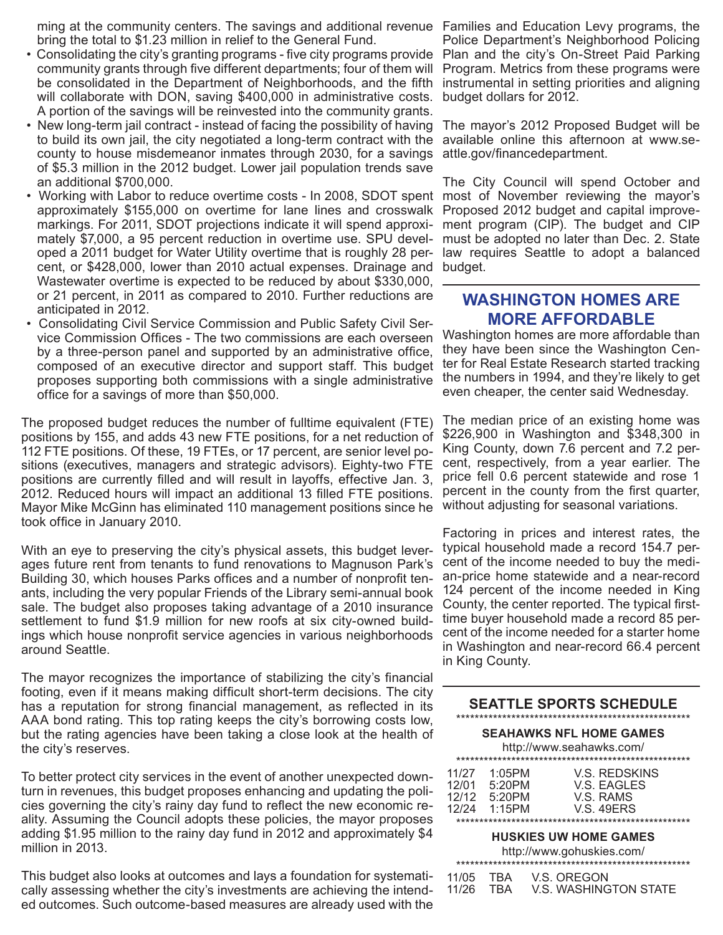ming at the community centers. The savings and additional revenue Families and Education Levy programs, the bring the total to \$1.23 million in relief to the General Fund.

- Consolidating the city's granting programs five city programs provide Plan and the city's On-Street Paid Parking community grants through five different departments; four of them will be consolidated in the Department of Neighborhoods, and the fifth will collaborate with DON, saving \$400,000 in administrative costs. A portion of the savings will be reinvested into the community grants.
- New long-term jail contract instead of facing the possibility of having to build its own jail, the city negotiated a long-term contract with the county to house misdemeanor inmates through 2030, for a savings of \$5.3 million in the 2012 budget. Lower jail population trends save an additional \$700,000.
- Working with Labor to reduce overtime costs In 2008, SDOT spent most of November reviewing the mayor's approximately \$155,000 on overtime for lane lines and crosswalk markings. For 2011, SDOT projections indicate it will spend approximately \$7,000, a 95 percent reduction in overtime use. SPU developed a 2011 budget for Water Utility overtime that is roughly 28 percent, or \$428,000, lower than 2010 actual expenses. Drainage and budget. Wastewater overtime is expected to be reduced by about \$330,000, or 21 percent, in 2011 as compared to 2010. Further reductions are anticipated in 2012.
- Consolidating Civil Service Commission and Public Safety Civil Service Commission Offices - The two commissions are each overseen by a three-person panel and supported by an administrative office, composed of an executive director and support staff. This budget proposes supporting both commissions with a single administrative office for a savings of more than \$50,000.

The proposed budget reduces the number of fulltime equivalent (FTE) positions by 155, and adds 43 new FTE positions, for a net reduction of 112 FTE positions. Of these, 19 FTEs, or 17 percent, are senior level positions (executives, managers and strategic advisors). Eighty-two FTE positions are currently filled and will result in layoffs, effective Jan. 3, 2012. Reduced hours will impact an additional 13 filled FTE positions. Mayor Mike McGinn has eliminated 110 management positions since he took office in January 2010.

With an eye to preserving the city's physical assets, this budget leverages future rent from tenants to fund renovations to Magnuson Park's Building 30, which houses Parks offices and a number of nonprofit tenants, including the very popular Friends of the Library semi-annual book sale. The budget also proposes taking advantage of a 2010 insurance settlement to fund \$1.9 million for new roofs at six city-owned buildings which house nonprofit service agencies in various neighborhoods around Seattle.

The mayor recognizes the importance of stabilizing the city's financial footing, even if it means making difficult short-term decisions. The city has a reputation for strong financial management, as reflected in its AAA bond rating. This top rating keeps the city's borrowing costs low, but the rating agencies have been taking a close look at the health of the city's reserves.

To better protect city services in the event of another unexpected downturn in revenues, this budget proposes enhancing and updating the policies governing the city's rainy day fund to reflect the new economic reality. Assuming the Council adopts these policies, the mayor proposes adding \$1.95 million to the rainy day fund in 2012 and approximately \$4 million in 2013.

This budget also looks at outcomes and lays a foundation for systematically assessing whether the city's investments are achieving the intended outcomes. Such outcome-based measures are already used with the

Police Department's Neighborhood Policing Program. Metrics from these programs were instrumental in setting priorities and aligning budget dollars for 2012.

The mayor's 2012 Proposed Budget will be available online this afternoon at www.seattle.gov/financedepartment.

The City Council will spend October and Proposed 2012 budget and capital improvement program (CIP). The budget and CIP must be adopted no later than Dec. 2. State law requires Seattle to adopt a balanced

## **WASHINGTON HOMES ARE MORE AFFORDABLE**

Washington homes are more affordable than they have been since the Washington Center for Real Estate Research started tracking the numbers in 1994, and they're likely to get even cheaper, the center said Wednesday.

The median price of an existing home was \$226,900 in Washington and \$348,300 in King County, down 7.6 percent and 7.2 percent, respectively, from a year earlier. The price fell 0.6 percent statewide and rose 1 percent in the county from the first quarter, without adjusting for seasonal variations.

Factoring in prices and interest rates, the typical household made a record 154.7 percent of the income needed to buy the median-price home statewide and a near-record 124 percent of the income needed in King County, the center reported. The typical firsttime buyer household made a record 85 percent of the income needed for a starter home in Washington and near-record 66.4 percent in King County.

| <b>SEATTLE SPORTS SCHEDULE</b>                             |                                            |                                                                       |  |  |  |  |  |  |
|------------------------------------------------------------|--------------------------------------------|-----------------------------------------------------------------------|--|--|--|--|--|--|
| <b>SEAHAWKS NFL HOME GAMES</b><br>http://www.seahawks.com/ |                                            |                                                                       |  |  |  |  |  |  |
| 11/27<br>12/01<br>12/12<br>12/24                           | $1:05$ PM<br>5:20PM<br>5:20PM<br>$1.15$ PM | <b>V.S. REDSKINS</b><br>V.S. EAGLES<br>V.S. RAMS<br><b>V.S. 49ERS</b> |  |  |  |  |  |  |
| <b>HUSKIES UW HOME GAMES</b><br>http://www.gohuskies.com/  |                                            |                                                                       |  |  |  |  |  |  |
| 11/05<br>11/26                                             | TRA<br>TRA                                 | V.S. OREGON<br>V.S. WASHINGTON STATE                                  |  |  |  |  |  |  |